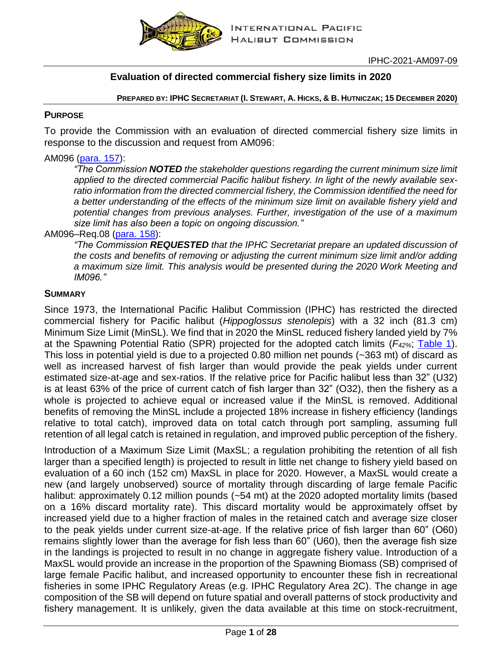

# **Evaluation of directed commercial fishery size limits in 2020**

PREPARED BY: IPHC SECRETARIAT (I. STEWART, A. HICKS, & B. HUTNICZAK; 15 DECEMBER 2020)

#### **PURPOSE**

To provide the Commission with an evaluation of directed commercial fishery size limits in response to the discussion and request from AM096:

#### AM096 [\(para. 157\)](https://www.iphc.int/uploads/pdf/am/2020am/iphc-2020-am096-r.pdf):

*"The Commission NOTED the stakeholder questions regarding the current minimum size limit applied to the directed commercial Pacific halibut fishery. In light of the newly available sexratio information from the directed commercial fishery, the Commission identified the need for a better understanding of the effects of the minimum size limit on available fishery yield and potential changes from previous analyses. Further, investigation of the use of a maximum size limit has also been a topic on ongoing discussion."*

#### AM096–Req.08 [\(para. 158\)](https://www.iphc.int/uploads/pdf/am/2020am/iphc-2020-am096-r.pdf):

*"The Commission REQUESTED that the IPHC Secretariat prepare an updated discussion of the costs and benefits of removing or adjusting the current minimum size limit and/or adding a maximum size limit. This analysis would be presented during the 2020 Work Meeting and IM096."*

#### **SUMMARY**

Since 1973, the International Pacific Halibut Commission (IPHC) has restricted the directed commercial fishery for Pacific halibut (*Hippoglossus stenolepis*) with a 32 inch (81.3 cm) Minimum Size Limit (MinSL). We find that in 2020 the MinSL reduced fishery landed yield by 7% at the Spawning Potential Ratio (SPR) projected for the adopted catch limits (*F42%*; [Table 1\)](#page-1-0). This loss in potential yield is due to a projected 0.80 million net pounds (~363 mt) of discard as well as increased harvest of fish larger than would provide the peak yields under current estimated size-at-age and sex-ratios. If the relative price for Pacific halibut less than 32" (U32) is at least 63% of the price of current catch of fish larger than 32" (O32), then the fishery as a whole is projected to achieve equal or increased value if the MinSL is removed. Additional benefits of removing the MinSL include a projected 18% increase in fishery efficiency (landings relative to total catch), improved data on total catch through port sampling, assuming full retention of all legal catch is retained in regulation, and improved public perception of the fishery.

Introduction of a Maximum Size Limit (MaxSL; a regulation prohibiting the retention of all fish larger than a specified length) is projected to result in little net change to fishery yield based on evaluation of a 60 inch (152 cm) MaxSL in place for 2020. However, a MaxSL would create a new (and largely unobserved) source of mortality through discarding of large female Pacific halibut: approximately 0.12 million pounds (~54 mt) at the 2020 adopted mortality limits (based on a 16% discard mortality rate). This discard mortality would be approximately offset by increased yield due to a higher fraction of males in the retained catch and average size closer to the peak yields under current size-at-age. If the relative price of fish larger than 60" (O60) remains slightly lower than the average for fish less than 60" (U60), then the average fish size in the landings is projected to result in no change in aggregate fishery value. Introduction of a MaxSL would provide an increase in the proportion of the Spawning Biomass (SB) comprised of large female Pacific halibut, and increased opportunity to encounter these fish in recreational fisheries in some IPHC Regulatory Areas (e.g. IPHC Regulatory Area 2C). The change in age composition of the SB will depend on future spatial and overall patterns of stock productivity and fishery management. It is unlikely, given the data available at this time on stock-recruitment,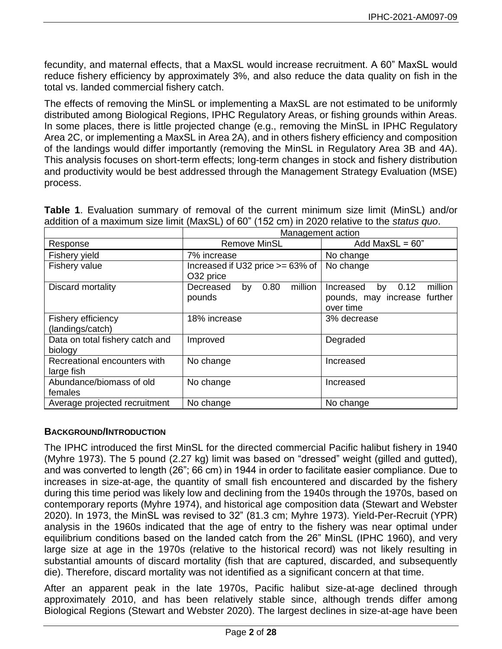fecundity, and maternal effects, that a MaxSL would increase recruitment. A 60" MaxSL would reduce fishery efficiency by approximately 3%, and also reduce the data quality on fish in the total vs. landed commercial fishery catch.

The effects of removing the MinSL or implementing a MaxSL are not estimated to be uniformly distributed among Biological Regions, IPHC Regulatory Areas, or fishing grounds within Areas. In some places, there is little projected change (e.g., removing the MinSL in IPHC Regulatory Area 2C, or implementing a MaxSL in Area 2A), and in others fishery efficiency and composition of the landings would differ importantly (removing the MinSL in Regulatory Area 3B and 4A). This analysis focuses on short-term effects; long-term changes in stock and fishery distribution and productivity would be best addressed through the Management Strategy Evaluation (MSE) process.

<span id="page-1-0"></span>

|  | <b>Table 1.</b> Evaluation summary of removal of the current minimum size limit (MinSL) and/or |  |  |  |  |
|--|------------------------------------------------------------------------------------------------|--|--|--|--|
|  | addition of a maximum size limit (MaxSL) of 60" (152 cm) in 2020 relative to the status quo.   |  |  |  |  |

|                                            | Management action                             |                                                                                 |  |  |  |  |
|--------------------------------------------|-----------------------------------------------|---------------------------------------------------------------------------------|--|--|--|--|
| Response                                   | <b>Remove MinSL</b>                           | Add MaxSL = $60$ "                                                              |  |  |  |  |
| <b>Fishery yield</b>                       | 7% increase                                   | No change                                                                       |  |  |  |  |
| Fishery value                              | Increased if U32 price >= 63% of<br>O32 price | No change                                                                       |  |  |  |  |
| Discard mortality                          | million<br>Decreased<br>0.80<br>by<br>pounds  | 0.12<br>million<br>Increased<br>by<br>pounds, may increase further<br>over time |  |  |  |  |
| Fishery efficiency<br>(landings/catch)     | 18% increase                                  | 3% decrease                                                                     |  |  |  |  |
| Data on total fishery catch and<br>biology | Improved                                      | Degraded                                                                        |  |  |  |  |
| Recreational encounters with<br>large fish | No change                                     | Increased                                                                       |  |  |  |  |
| Abundance/biomass of old<br>females        | No change                                     | Increased                                                                       |  |  |  |  |
| Average projected recruitment              | No change                                     | No change                                                                       |  |  |  |  |

### **BACKGROUND/INTRODUCTION**

The IPHC introduced the first MinSL for the directed commercial Pacific halibut fishery in 1940 [\(Myhre 1973\)](#page-19-0). The 5 pound (2.27 kg) limit was based on "dressed" weight (gilled and gutted), and was converted to length (26"; 66 cm) in 1944 in order to facilitate easier compliance. Due to increases in size-at-age, the quantity of small fish encountered and discarded by the fishery during this time period was likely low and declining from the 1940s through the 1970s, based on contemporary reports [\(Myhre 1974\)](#page-19-1), and historical age composition data [\(Stewart and Webster](#page-19-2)  [2020\)](#page-19-2). In 1973, the MinSL was revised to 32" [\(81.3 cm; Myhre 1973\)](#page-19-0). Yield-Per-Recruit (YPR) analysis in the 1960s indicated that the age of entry to the fishery was near optimal under equilibrium conditions based on the landed catch from the 26" MinSL [\(IPHC 1960\)](#page-18-0), and very large size at age in the 1970s (relative to the historical record) was not likely resulting in substantial amounts of discard mortality (fish that are captured, discarded, and subsequently die). Therefore, discard mortality was not identified as a significant concern at that time.

After an apparent peak in the late 1970s, Pacific halibut size-at-age declined through approximately 2010, and has been relatively stable since, although trends differ among Biological Regions [\(Stewart and Webster 2020\)](#page-19-2). The largest declines in size-at-age have been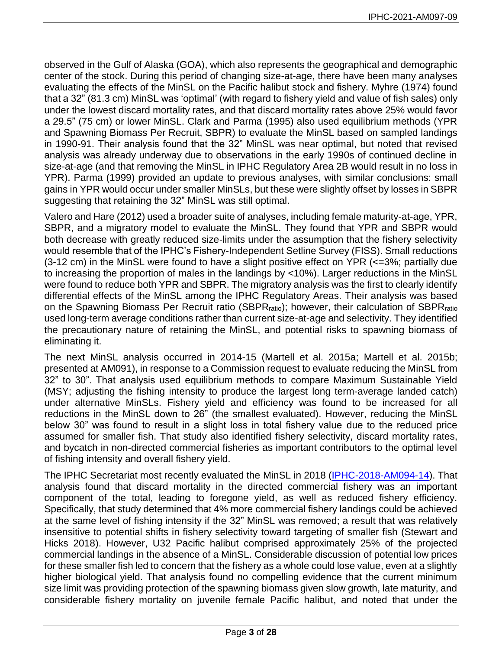observed in the Gulf of Alaska (GOA), which also represents the geographical and demographic center of the stock. During this period of changing size-at-age, there have been many analyses evaluating the effects of the MinSL on the Pacific halibut stock and fishery. Myhre [\(1974\)](#page-19-1) found that a 32" (81.3 cm) MinSL was 'optimal' (with regard to fishery yield and value of fish sales) only under the lowest discard mortality rates, and that discard mortality rates above 25% would favor a 29.5" (75 cm) or lower MinSL. Clark and Parma [\(1995\)](#page-18-1) also used equilibrium methods (YPR and Spawning Biomass Per Recruit, SBPR) to evaluate the MinSL based on sampled landings in 1990-91. Their analysis found that the 32" MinSL was near optimal, but noted that revised analysis was already underway due to observations in the early 1990s of continued decline in size-at-age (and that removing the MinSL in IPHC Regulatory Area 2B would result in no loss in YPR). Parma [\(1999\)](#page-19-3) provided an update to previous analyses, with similar conclusions: small gains in YPR would occur under smaller MinSLs, but these were slightly offset by losses in SBPR suggesting that retaining the 32" MinSL was still optimal.

Valero and Hare [\(2012\)](#page-19-4) used a broader suite of analyses, including female maturity-at-age, YPR, SBPR, and a migratory model to evaluate the MinSL. They found that YPR and SBPR would both decrease with greatly reduced size-limits under the assumption that the fishery selectivity would resemble that of the IPHC's Fishery-Independent Setline Survey (FISS). Small reductions (3-12 cm) in the MinSL were found to have a slight positive effect on YPR (<=3%; partially due to increasing the proportion of males in the landings by <10%). Larger reductions in the MinSL were found to reduce both YPR and SBPR. The migratory analysis was the first to clearly identify differential effects of the MinSL among the IPHC Regulatory Areas. Their analysis was based on the Spawning Biomass Per Recruit ratio (SBPRratio); however, their calculation of SBPRratio used long-term average conditions rather than current size-at-age and selectivity. They identified the precautionary nature of retaining the MinSL, and potential risks to spawning biomass of eliminating it.

The next MinSL analysis occurred in 2014-15 [\(Martell et al. 2015a;](#page-18-2) [Martell et al. 2015b;](#page-18-3)  [presented at AM091\)](#page-18-3), in response to a Commission request to evaluate reducing the MinSL from 32" to 30". That analysis used equilibrium methods to compare Maximum Sustainable Yield (MSY; adjusting the fishing intensity to produce the largest long term-average landed catch) under alternative MinSLs. Fishery yield and efficiency was found to be increased for all reductions in the MinSL down to 26" (the smallest evaluated). However, reducing the MinSL below 30" was found to result in a slight loss in total fishery value due to the reduced price assumed for smaller fish. That study also identified fishery selectivity, discard mortality rates, and bycatch in non-directed commercial fisheries as important contributors to the optimal level of fishing intensity and overall fishery yield.

The IPHC Secretariat most recently evaluated the MinSL in 2018 [\(IPHC-2018-AM094-14\)](https://www.iphc.int/uploads/pdf/am/2018am/iphc-2018-am094-14.pdf). That analysis found that discard mortality in the directed commercial fishery was an important component of the total, leading to foregone yield, as well as reduced fishery efficiency. Specifically, that study determined that 4% more commercial fishery landings could be achieved at the same level of fishing intensity if the 32" MinSL was removed; a result that was relatively insensitive to potential shifts in fishery selectivity toward targeting of smaller fish [\(Stewart and](#page-19-5)  [Hicks 2018\)](#page-19-5). However, U32 Pacific halibut comprised approximately 25% of the projected commercial landings in the absence of a MinSL. Considerable discussion of potential low prices for these smaller fish led to concern that the fishery as a whole could lose value, even at a slightly higher biological yield. That analysis found no compelling evidence that the current minimum size limit was providing protection of the spawning biomass given slow growth, late maturity, and considerable fishery mortality on juvenile female Pacific halibut, and noted that under the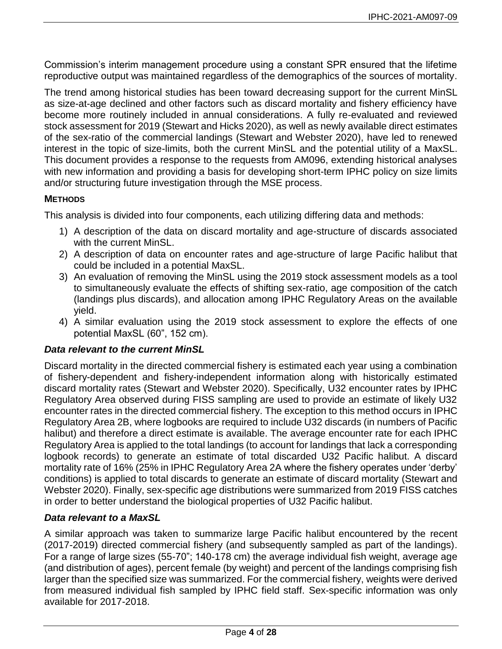Commission's interim management procedure using a constant SPR ensured that the lifetime reproductive output was maintained regardless of the demographics of the sources of mortality.

The trend among historical studies has been toward decreasing support for the current MinSL as size-at-age declined and other factors such as discard mortality and fishery efficiency have become more routinely included in annual considerations. A fully re-evaluated and reviewed stock assessment for 2019 [\(Stewart and Hicks 2020\)](#page-19-6), as well as newly available direct estimates of the sex-ratio of the commercial landings [\(Stewart and Webster 2020\)](#page-19-2), have led to renewed interest in the topic of size-limits, both the current MinSL and the potential utility of a MaxSL. This document provides a response to the requests from AM096, extending historical analyses with new information and providing a basis for developing short-term IPHC policy on size limits and/or structuring future investigation through the MSE process.

## **METHODS**

This analysis is divided into four components, each utilizing differing data and methods:

- 1) A description of the data on discard mortality and age-structure of discards associated with the current MinSL.
- 2) A description of data on encounter rates and age-structure of large Pacific halibut that could be included in a potential MaxSL.
- 3) An evaluation of removing the MinSL using the 2019 stock assessment models as a tool to simultaneously evaluate the effects of shifting sex-ratio, age composition of the catch (landings plus discards), and allocation among IPHC Regulatory Areas on the available yield.
- 4) A similar evaluation using the 2019 stock assessment to explore the effects of one potential MaxSL (60", 152 cm).

### *Data relevant to the current MinSL*

Discard mortality in the directed commercial fishery is estimated each year using a combination of fishery-dependent and fishery-independent information along with historically estimated discard mortality rates [\(Stewart and Webster 2020\)](#page-19-2). Specifically, U32 encounter rates by IPHC Regulatory Area observed during FISS sampling are used to provide an estimate of likely U32 encounter rates in the directed commercial fishery. The exception to this method occurs in IPHC Regulatory Area 2B, where logbooks are required to include U32 discards (in numbers of Pacific halibut) and therefore a direct estimate is available. The average encounter rate for each IPHC Regulatory Area is applied to the total landings (to account for landings that lack a corresponding logbook records) to generate an estimate of total discarded U32 Pacific halibut. A discard mortality rate of 16% (25% in IPHC Regulatory Area 2A where the fishery operates under 'derby' conditions) is applied to total discards to generate an estimate of discard mortality [\(Stewart and](#page-19-2)  [Webster 2020\)](#page-19-2). Finally, sex-specific age distributions were summarized from 2019 FISS catches in order to better understand the biological properties of U32 Pacific halibut.

### *Data relevant to a MaxSL*

A similar approach was taken to summarize large Pacific halibut encountered by the recent (2017-2019) directed commercial fishery (and subsequently sampled as part of the landings). For a range of large sizes (55-70"; 140-178 cm) the average individual fish weight, average age (and distribution of ages), percent female (by weight) and percent of the landings comprising fish larger than the specified size was summarized. For the commercial fishery, weights were derived from measured individual fish sampled by IPHC field staff. Sex-specific information was only available for 2017-2018.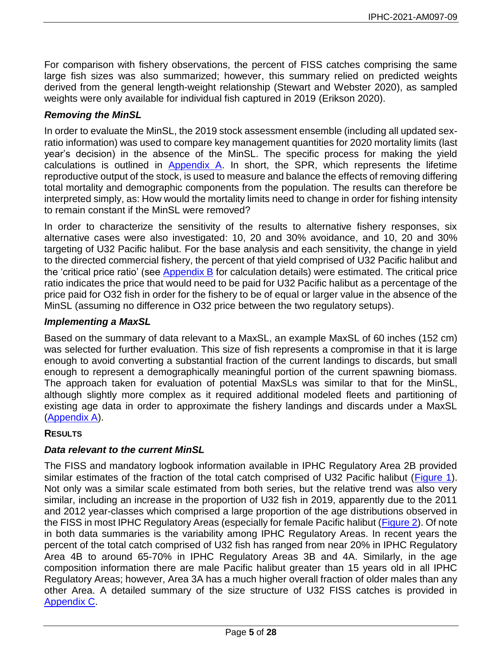For comparison with fishery observations, the percent of FISS catches comprising the same large fish sizes was also summarized; however, this summary relied on predicted weights derived from the general length-weight relationship [\(Stewart and Webster 2020\)](#page-19-2), as sampled weights were only available for individual fish captured in 2019 [\(Erikson 2020\)](#page-18-4).

## *Removing the MinSL*

In order to evaluate the MinSL, the 2019 stock assessment ensemble (including all updated sexratio information) was used to compare key management quantities for 2020 mortality limits (last year's decision) in the absence of the MinSL. The specific process for making the yield calculations is outlined in  $\Delta p$  and  $\Delta p$ . In short, the SPR, which represents the lifetime reproductive output of the stock, is used to measure and balance the effects of removing differing total mortality and demographic components from the population. The results can therefore be interpreted simply, as: How would the mortality limits need to change in order for fishing intensity to remain constant if the MinSL were removed?

In order to characterize the sensitivity of the results to alternative fishery responses, six alternative cases were also investigated: 10, 20 and 30% avoidance, and 10, 20 and 30% targeting of U32 Pacific halibut. For the base analysis and each sensitivity, the change in yield to the directed commercial fishery, the percent of that yield comprised of U32 Pacific halibut and the 'critical price ratio' (see [Appendix B](#page-21-0) for calculation details) were estimated. The critical price ratio indicates the price that would need to be paid for U32 Pacific halibut as a percentage of the price paid for O32 fish in order for the fishery to be of equal or larger value in the absence of the MinSL (assuming no difference in O32 price between the two regulatory setups).

### *Implementing a MaxSL*

Based on the summary of data relevant to a MaxSL, an example MaxSL of 60 inches (152 cm) was selected for further evaluation. This size of fish represents a compromise in that it is large enough to avoid converting a substantial fraction of the current landings to discards, but small enough to represent a demographically meaningful portion of the current spawning biomass. The approach taken for evaluation of potential MaxSLs was similar to that for the MinSL, although slightly more complex as it required additional modeled fleets and partitioning of existing age data in order to approximate the fishery landings and discards under a MaxSL [\(Appendix A\)](#page-20-0).

#### **RESULTS**

### *Data relevant to the current MinSL*

The FISS and mandatory logbook information available in IPHC Regulatory Area 2B provided similar estimates of the fraction of the total catch comprised of U32 Pacific halibut [\(Figure 1\)](#page-5-0). Not only was a similar scale estimated from both series, but the relative trend was also very similar, including an increase in the proportion of U32 fish in 2019, apparently due to the 2011 and 2012 year-classes which comprised a large proportion of the age distributions observed in the FISS in most IPHC Regulatory Areas (especially for female Pacific halibut [\(Figure 2\)](#page-6-0). Of note in both data summaries is the variability among IPHC Regulatory Areas. In recent years the percent of the total catch comprised of U32 fish has ranged from near 20% in IPHC Regulatory Area 4B to around 65-70% in IPHC Regulatory Areas 3B and 4A. Similarly, in the age composition information there are male Pacific halibut greater than 15 years old in all IPHC Regulatory Areas; however, Area 3A has a much higher overall fraction of older males than any other Area. A detailed summary of the size structure of U32 FISS catches is provided in [Appendix C.](#page-22-0)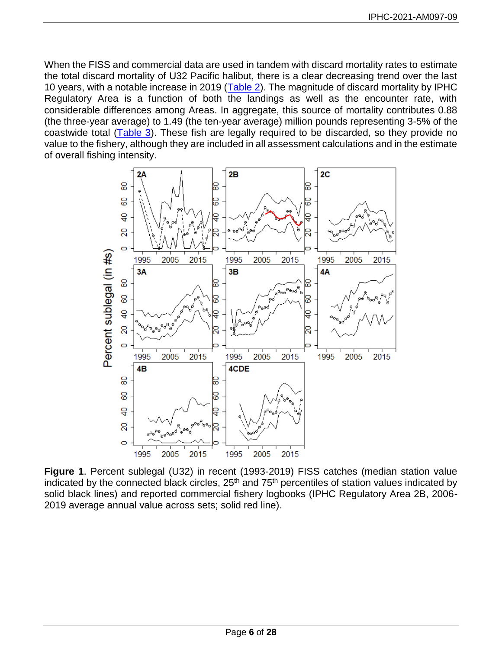When the FISS and commercial data are used in tandem with discard mortality rates to estimate the total discard mortality of U32 Pacific halibut, there is a clear decreasing trend over the last 10 years, with a notable increase in 2019 [\(Table 2\)](#page-7-0). The magnitude of discard mortality by IPHC Regulatory Area is a function of both the landings as well as the encounter rate, with considerable differences among Areas. In aggregate, this source of mortality contributes 0.88 (the three-year average) to 1.49 (the ten-year average) million pounds representing 3-5% of the coastwide total [\(Table 3\)](#page-7-1). These fish are legally required to be discarded, so they provide no value to the fishery, although they are included in all assessment calculations and in the estimate of overall fishing intensity.



<span id="page-5-0"></span>**Figure 1**. Percent sublegal (U32) in recent (1993-2019) FISS catches (median station value indicated by the connected black circles,  $25<sup>th</sup>$  and  $75<sup>th</sup>$  percentiles of station values indicated by solid black lines) and reported commercial fishery logbooks (IPHC Regulatory Area 2B, 2006- 2019 average annual value across sets; solid red line).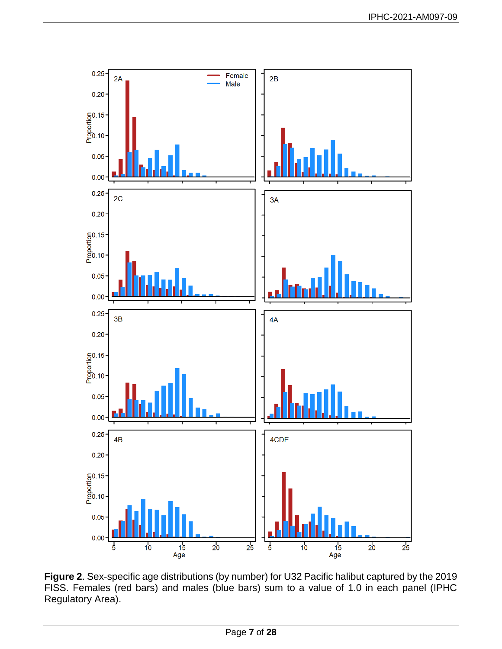

<span id="page-6-0"></span>**Figure 2**. Sex-specific age distributions (by number) for U32 Pacific halibut captured by the 2019 FISS. Females (red bars) and males (blue bars) sum to a value of 1.0 in each panel (IPHC Regulatory Area).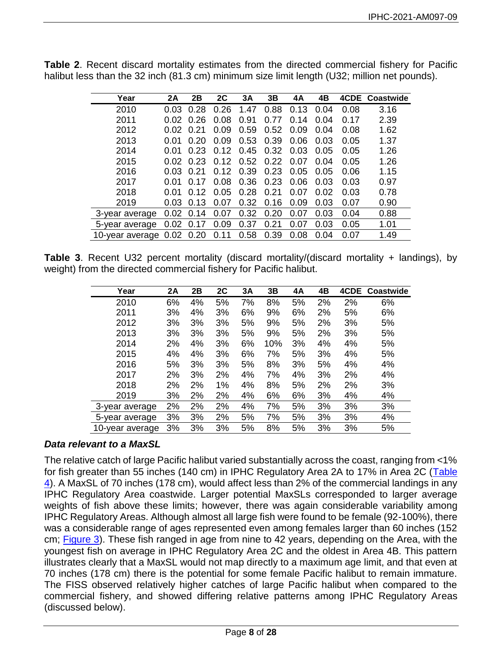| Year            | 2Α   | 2Β   | 2C   | 3A   | 3B        | 4A              | 4Β   |      | 4CDE Coastwide |
|-----------------|------|------|------|------|-----------|-----------------|------|------|----------------|
| 2010            | 0.03 | 0.28 | 0.26 | 1.47 | 0.88      | 0.13            | 0.04 | 0.08 | 3.16           |
| 2011            | 0.02 | 0.26 | 0.08 | 0.91 | .77<br>0. | 14<br>0.        | 0.04 | 0.17 | 2.39           |
| 2012            | 0.02 | 0.21 | 0.09 | 0.59 | 0.52      | .09<br>0        | 0.04 | 0.08 | 1.62           |
| 2013            | 0.01 | 0.20 | 0.09 | 0.53 | 0.39      | 0.06            | 0.03 | 0.05 | 1.37           |
| 2014            | 0.01 | 0.23 | 0.12 | 0.45 | 0.32      | 0.03            | 0.05 | 0.05 | 1.26           |
| 2015            | 0.02 | 0.23 | 0.12 | 0.52 | 0.22      | 0.07            | 0.04 | 0.05 | 1.26           |
| 2016            | 0.03 | 0.21 | 0.12 | 0.39 | 0.23      | 0.05            | 0.05 | 0.06 | 1.15           |
| 2017            | 0.01 | 0.17 | 0.08 | 0.36 | 0.23      | 0.06            | 0.03 | 0.03 | 0.97           |
| 2018            | 0.01 | 0.12 | 0.05 | 0.28 | 0.21      | 0.07            | 0.02 | 0.03 | 0.78           |
| 2019            | 0.03 | 0.13 | 0.07 | 0.32 | 0.16      | 0.09            | 0.03 | 0.07 | 0.90           |
| 3-year average  | 0.02 | 0.14 | 0.07 | 0.32 | .20<br>0. | .07<br>0.       | 0.03 | 0.04 | 0.88           |
| 5-year average  | 0.02 | 0.17 | 0.09 | 0.37 | 0.21      | .07<br>$\Omega$ | 0.03 | 0.05 | 1.01           |
| 10-year average | 0.02 | 0.20 | 0.11 | 0.58 | 0.39      | 0.08            | 0.04 | 0.07 | 1.49           |

<span id="page-7-0"></span>**Table 2**. Recent discard mortality estimates from the directed commercial fishery for Pacific halibut less than the 32 inch (81.3 cm) minimum size limit length (U32; million net pounds).

<span id="page-7-1"></span>**Table 3**. Recent U32 percent mortality (discard mortality/(discard mortality + landings), by weight) from the directed commercial fishery for Pacific halibut.

| Year            | 2A | 2B | 2C | 3A | 3B  | 4A | 4B | 4CDE | Coastwide |
|-----------------|----|----|----|----|-----|----|----|------|-----------|
| 2010            | 6% | 4% | 5% | 7% | 8%  | 5% | 2% | 2%   | 6%        |
| 2011            | 3% | 4% | 3% | 6% | 9%  | 6% | 2% | 5%   | 6%        |
| 2012            | 3% | 3% | 3% | 5% | 9%  | 5% | 2% | 3%   | 5%        |
| 2013            | 3% | 3% | 3% | 5% | 9%  | 5% | 2% | 3%   | 5%        |
| 2014            | 2% | 4% | 3% | 6% | 10% | 3% | 4% | 4%   | 5%        |
| 2015            | 4% | 4% | 3% | 6% | 7%  | 5% | 3% | 4%   | 5%        |
| 2016            | 5% | 3% | 3% | 5% | 8%  | 3% | 5% | 4%   | 4%        |
| 2017            | 2% | 3% | 2% | 4% | 7%  | 4% | 3% | 2%   | 4%        |
| 2018            | 2% | 2% | 1% | 4% | 8%  | 5% | 2% | 2%   | 3%        |
| 2019            | 3% | 2% | 2% | 4% | 6%  | 6% | 3% | 4%   | 4%        |
| 3-year average  | 2% | 2% | 2% | 4% | 7%  | 5% | 3% | 3%   | 3%        |
| 5-year average  | 3% | 3% | 2% | 5% | 7%  | 5% | 3% | 3%   | 4%        |
| 10-year average | 3% | 3% | 3% | 5% | 8%  | 5% | 3% | 3%   | 5%        |

# *Data relevant to a MaxSL*

The relative catch of large Pacific halibut varied substantially across the coast, ranging from <1% for fish greater than 55 inches (140 cm) in IPHC Regulatory Area 2A to 17% in Area 2C (Table [4\)](#page-8-0). A MaxSL of 70 inches (178 cm), would affect less than 2% of the commercial landings in any IPHC Regulatory Area coastwide. Larger potential MaxSLs corresponded to larger average weights of fish above these limits; however, there was again considerable variability among IPHC Regulatory Areas. Although almost all large fish were found to be female (92-100%), there was a considerable range of ages represented even among females larger than 60 inches (152 cm; [Figure 3\)](#page-9-0). These fish ranged in age from nine to 42 years, depending on the Area, with the youngest fish on average in IPHC Regulatory Area 2C and the oldest in Area 4B. This pattern illustrates clearly that a MaxSL would not map directly to a maximum age limit, and that even at 70 inches (178 cm) there is the potential for some female Pacific halibut to remain immature. The FISS observed relatively higher catches of large Pacific halibut when compared to the commercial fishery, and showed differing relative patterns among IPHC Regulatory Areas (discussed below).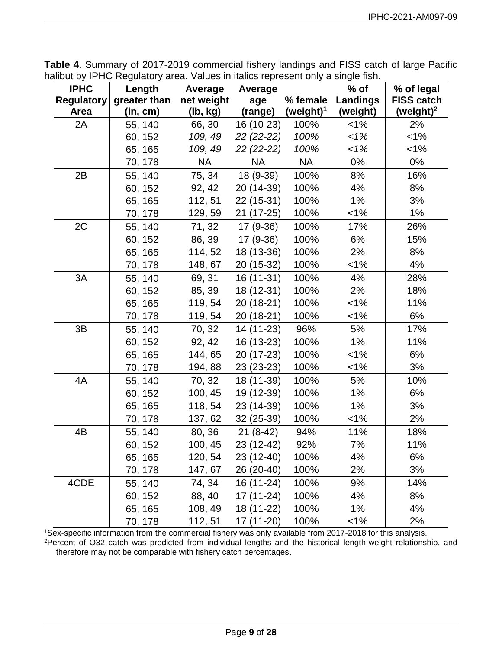| <b>IPHC</b>       | Length       | Average    | Average     |              | $%$ of          | % of legal            |
|-------------------|--------------|------------|-------------|--------------|-----------------|-----------------------|
| <b>Regulatory</b> | greater than | net weight | age         | % female     | <b>Landings</b> | <b>FISS catch</b>     |
| Area              | (in, cm)     | (lb, kg)   | (range)     | (weight) $1$ | (weight)        | (weight) <sup>2</sup> |
| 2A                | 55, 140      | 66, 30     | 16 (10-23)  | 100%         | $1\%$           | 2%                    |
|                   | 60, 152      | 109, 49    | $22(22-22)$ | 100%         | 1%              | $< 1\%$               |
|                   | 65, 165      | 109, 49    | 22 (22-22)  | 100%         | 1%              | 1%                    |
|                   | 70, 178      | <b>NA</b>  | <b>NA</b>   | <b>NA</b>    | 0%              | 0%                    |
| 2B                | 55, 140      | 75, 34     | 18 (9-39)   | 100%         | 8%              | 16%                   |
|                   | 60, 152      | 92, 42     | 20 (14-39)  | 100%         | 4%              | 8%                    |
|                   | 65, 165      | 112, 51    | 22 (15-31)  | 100%         | $1\%$           | 3%                    |
|                   | 70, 178      | 129, 59    | 21 (17-25)  | 100%         | $1\%$           | 1%                    |
| 2C                | 55, 140      | 71, 32     | $17(9-36)$  | 100%         | 17%             | 26%                   |
|                   | 60, 152      | 86, 39     | 17 (9-36)   | 100%         | 6%              | 15%                   |
|                   | 65, 165      | 114, 52    | 18 (13-36)  | 100%         | 2%              | 8%                    |
|                   | 70, 178      | 148, 67    | 20 (15-32)  | 100%         | $< 1\%$         | 4%                    |
| 3A                | 55, 140      | 69, 31     | 16 (11-31)  | 100%         | 4%              | 28%                   |
|                   | 60, 152      | 85, 39     | 18 (12-31)  | 100%         | 2%              | 18%                   |
|                   | 65, 165      | 119, 54    | 20 (18-21)  | 100%         | 1%              | 11%                   |
|                   | 70, 178      | 119, 54    | 20 (18-21)  | 100%         | $1\%$           | 6%                    |
| 3B                | 55, 140      | 70, 32     | 14 (11-23)  | 96%          | 5%              | 17%                   |
|                   | 60, 152      | 92, 42     | 16 (13-23)  | 100%         | 1%              | 11%                   |
|                   | 65, 165      | 144, 65    | 20 (17-23)  | 100%         | 1%              | 6%                    |
|                   | 70, 178      | 194, 88    | 23 (23-23)  | 100%         | $1\%$           | 3%                    |
| 4A                | 55, 140      | 70, 32     | 18 (11-39)  | 100%         | 5%              | 10%                   |
|                   | 60, 152      | 100, 45    | 19 (12-39)  | 100%         | 1%              | 6%                    |
|                   | 65, 165      | 118, 54    | 23 (14-39)  | 100%         | 1%              | 3%                    |
|                   | 70, 178      | 137, 62    | 32 (25-39)  | 100%         | 1%              | 2%                    |
| 4B                | 55, 140      | 80, 36     | $21(8-42)$  | 94%          | 11%             | 18%                   |
|                   | 60, 152      | 100, 45    | 23 (12-42)  | 92%          | 7%              | 11%                   |
|                   | 65, 165      | 120, 54    | 23 (12-40)  | 100%         | 4%              | 6%                    |
|                   | 70, 178      | 147, 67    | 26 (20-40)  | 100%         | 2%              | 3%                    |
| 4CDE              | 55, 140      | 74, 34     | 16 (11-24)  | 100%         | 9%              | 14%                   |
|                   | 60, 152      | 88, 40     | 17 (11-24)  | 100%         | 4%              | 8%                    |
|                   | 65, 165      | 108, 49    | 18 (11-22)  | 100%         | 1%              | 4%                    |

<span id="page-8-0"></span>**Table 4**. Summary of 2017-2019 commercial fishery landings and FISS catch of large Pacific halibut by IPHC Regulatory area. Values in italics represent only a single fish.

<sup>1</sup>Sex-specific information from the commercial fishery was only available from 2017-2018 for this analysis. <sup>2</sup>Percent of O32 catch was predicted from individual lengths and the historical length-weight relationship, and therefore may not be comparable with fishery catch percentages.

70, 178 112, 51 17 (11-20) 100% <1% 2%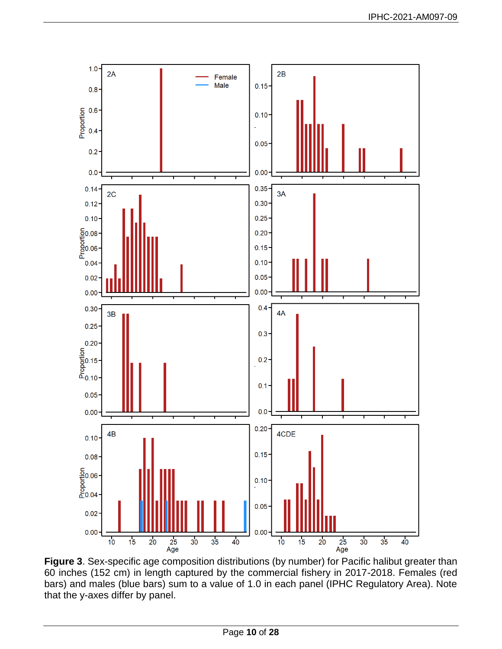

<span id="page-9-0"></span>**Figure 3**. Sex-specific age composition distributions (by number) for Pacific halibut greater than 60 inches (152 cm) in length captured by the commercial fishery in 2017-2018. Females (red bars) and males (blue bars) sum to a value of 1.0 in each panel (IPHC Regulatory Area). Note that the y-axes differ by panel.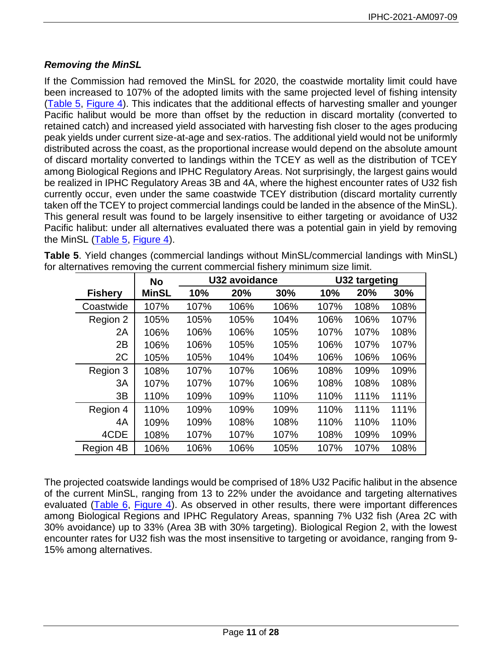# *Removing the MinSL*

If the Commission had removed the MinSL for 2020, the coastwide mortality limit could have been increased to 107% of the adopted limits with the same projected level of fishing intensity [\(Table 5,](#page-10-0) [Figure 4\)](#page-11-0). This indicates that the additional effects of harvesting smaller and younger Pacific halibut would be more than offset by the reduction in discard mortality (converted to retained catch) and increased yield associated with harvesting fish closer to the ages producing peak yields under current size-at-age and sex-ratios. The additional yield would not be uniformly distributed across the coast, as the proportional increase would depend on the absolute amount of discard mortality converted to landings within the TCEY as well as the distribution of TCEY among Biological Regions and IPHC Regulatory Areas. Not surprisingly, the largest gains would be realized in IPHC Regulatory Areas 3B and 4A, where the highest encounter rates of U32 fish currently occur, even under the same coastwide TCEY distribution (discard mortality currently taken off the TCEY to project commercial landings could be landed in the absence of the MinSL). This general result was found to be largely insensitive to either targeting or avoidance of U32 Pacific halibut: under all alternatives evaluated there was a potential gain in yield by removing the MinSL [\(Table 5,](#page-10-0) [Figure 4\)](#page-11-0).

<span id="page-10-0"></span>**Table 5**. Yield changes (commercial landings without MinSL/commercial landings with MinSL) for alternatives removing the current commercial fishery minimum size limit.

|                | <b>No</b>    | U32 avoidance |      |      |      | U32 targeting |      |
|----------------|--------------|---------------|------|------|------|---------------|------|
| <b>Fishery</b> | <b>MinSL</b> | 10%           | 20%  | 30%  | 10%  | 20%           | 30%  |
| Coastwide      | 107%         | 107%          | 106% | 106% | 107% | 108%          | 108% |
| Region 2       | 105%         | 105%          | 105% | 104% | 106% | 106%          | 107% |
| 2A             | 106%         | 106%          | 106% | 105% | 107% | 107%          | 108% |
| 2B             | 106%         | 106%          | 105% | 105% | 106% | 107%          | 107% |
| 2C             | 105%         | 105%          | 104% | 104% | 106% | 106%          | 106% |
| Region 3       | 108%         | 107%          | 107% | 106% | 108% | 109%          | 109% |
| 3A             | 107%         | 107%          | 107% | 106% | 108% | 108%          | 108% |
| 3B             | 110%         | 109%          | 109% | 110% | 110% | 111%          | 111% |
| Region 4       | 110%         | 109%          | 109% | 109% | 110% | 111%          | 111% |
| 4A             | 109%         | 109%          | 108% | 108% | 110% | 110%          | 110% |
| 4CDE           | 108%         | 107%          | 107% | 107% | 108% | 109%          | 109% |
| Region 4B      | 106%         | 106%          | 106% | 105% | 107% | 107%          | 108% |

The projected coatswide landings would be comprised of 18% U32 Pacific halibut in the absence of the current MinSL, ranging from 13 to 22% under the avoidance and targeting alternatives evaluated [\(Table 6,](#page-11-1) [Figure 4\)](#page-11-0). As observed in other results, there were important differences among Biological Regions and IPHC Regulatory Areas, spanning 7% U32 fish (Area 2C with 30% avoidance) up to 33% (Area 3B with 30% targeting). Biological Region 2, with the lowest encounter rates for U32 fish was the most insensitive to targeting or avoidance, ranging from 9- 15% among alternatives.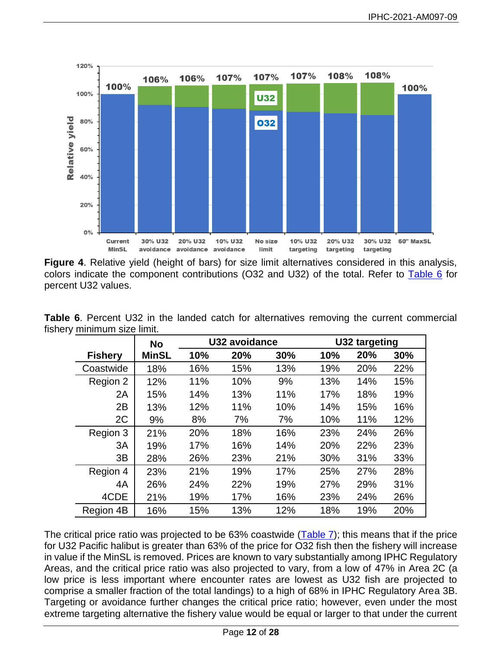

<span id="page-11-0"></span>**Figure 4**. Relative yield (height of bars) for size limit alternatives considered in this analysis, colors indicate the component contributions (O32 and U32) of the total. Refer to [Table 6](#page-11-1) for percent U32 values.

|                | <b>No</b>    | U32 avoidance |     |     |     | U32 targeting |     |
|----------------|--------------|---------------|-----|-----|-----|---------------|-----|
| <b>Fishery</b> | <b>MinSL</b> | 10%           | 20% | 30% | 10% | 20%           | 30% |
| Coastwide      | 18%          | 16%           | 15% | 13% | 19% | 20%           | 22% |
| Region 2       | 12%          | 11%           | 10% | 9%  | 13% | 14%           | 15% |
| 2A             | 15%          | 14%           | 13% | 11% | 17% | 18%           | 19% |
| 2B             | 13%          | 12%           | 11% | 10% | 14% | 15%           | 16% |
| 2C             | 9%           | 8%            | 7%  | 7%  | 10% | 11%           | 12% |
| Region 3       | 21%          | 20%           | 18% | 16% | 23% | 24%           | 26% |
| 3A             | 19%          | 17%           | 16% | 14% | 20% | 22%           | 23% |
| 3B             | 28%          | 26%           | 23% | 21% | 30% | 31%           | 33% |
| Region 4       | 23%          | 21%           | 19% | 17% | 25% | 27%           | 28% |
| 4A             | 26%          | 24%           | 22% | 19% | 27% | 29%           | 31% |
| 4CDE           | 21%          | 19%           | 17% | 16% | 23% | 24%           | 26% |
| Region 4B      | 16%          | 15%           | 13% | 12% | 18% | 19%           | 20% |

<span id="page-11-1"></span>**Table 6**. Percent U32 in the landed catch for alternatives removing the current commercial fishery minimum size limit.

The critical price ratio was projected to be 63% coastwide  $(Table 7)$ ; this means that if the price for U32 Pacific halibut is greater than 63% of the price for O32 fish then the fishery will increase in value if the MinSL is removed. Prices are known to vary substantially among IPHC Regulatory Areas, and the critical price ratio was also projected to vary, from a low of 47% in Area 2C (a low price is less important where encounter rates are lowest as U32 fish are projected to comprise a smaller fraction of the total landings) to a high of 68% in IPHC Regulatory Area 3B. Targeting or avoidance further changes the critical price ratio; however, even under the most extreme targeting alternative the fishery value would be equal or larger to that under the current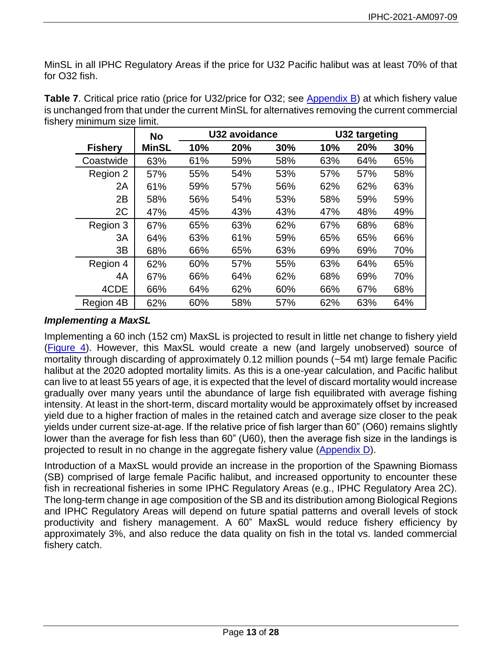MinSL in all IPHC Regulatory Areas if the price for U32 Pacific halibut was at least 70% of that for O32 fish.

|                | <b>No</b>    | U32 avoidance |     |     | U32 targeting |     |     |
|----------------|--------------|---------------|-----|-----|---------------|-----|-----|
| <b>Fishery</b> | <b>MinSL</b> | 10%           | 20% | 30% | 10%           | 20% | 30% |
| Coastwide      | 63%          | 61%           | 59% | 58% | 63%           | 64% | 65% |
| Region 2       | 57%          | 55%           | 54% | 53% | 57%           | 57% | 58% |
| 2A             | 61%          | 59%           | 57% | 56% | 62%           | 62% | 63% |
| 2B             | 58%          | 56%           | 54% | 53% | 58%           | 59% | 59% |
| 2C             | 47%          | 45%           | 43% | 43% | 47%           | 48% | 49% |
| Region 3       | 67%          | 65%           | 63% | 62% | 67%           | 68% | 68% |
| 3A             | 64%          | 63%           | 61% | 59% | 65%           | 65% | 66% |
| 3B             | 68%          | 66%           | 65% | 63% | 69%           | 69% | 70% |
| Region 4       | 62%          | 60%           | 57% | 55% | 63%           | 64% | 65% |
| 4A             | 67%          | 66%           | 64% | 62% | 68%           | 69% | 70% |
| 4CDE           | 66%          | 64%           | 62% | 60% | 66%           | 67% | 68% |
| Region 4B      | 62%          | 60%           | 58% | 57% | 62%           | 63% | 64% |

<span id="page-12-0"></span>**Table 7**. Critical price ratio (price for U32/price for O32; see [Appendix B\)](#page-21-0) at which fishery value is unchanged from that under the current MinSL for alternatives removing the current commercial fishery minimum size limit.

# *Implementing a MaxSL*

Implementing a 60 inch (152 cm) MaxSL is projected to result in little net change to fishery yield [\(Figure 4\)](#page-11-0). However, this MaxSL would create a new (and largely unobserved) source of mortality through discarding of approximately 0.12 million pounds (~54 mt) large female Pacific halibut at the 2020 adopted mortality limits. As this is a one-year calculation, and Pacific halibut can live to at least 55 years of age, it is expected that the level of discard mortality would increase gradually over many years until the abundance of large fish equilibrated with average fishing intensity. At least in the short-term, discard mortality would be approximately offset by increased yield due to a higher fraction of males in the retained catch and average size closer to the peak yields under current size-at-age. If the relative price of fish larger than 60" (O60) remains slightly lower than the average for fish less than 60" (U60), then the average fish size in the landings is projected to result in no change in the aggregate fishery value [\(Appendix D\)](#page-25-0).

Introduction of a MaxSL would provide an increase in the proportion of the Spawning Biomass (SB) comprised of large female Pacific halibut, and increased opportunity to encounter these fish in recreational fisheries in some IPHC Regulatory Areas (e.g., IPHC Regulatory Area 2C). The long-term change in age composition of the SB and its distribution among Biological Regions and IPHC Regulatory Areas will depend on future spatial patterns and overall levels of stock productivity and fishery management. A 60" MaxSL would reduce fishery efficiency by approximately 3%, and also reduce the data quality on fish in the total vs. landed commercial fishery catch.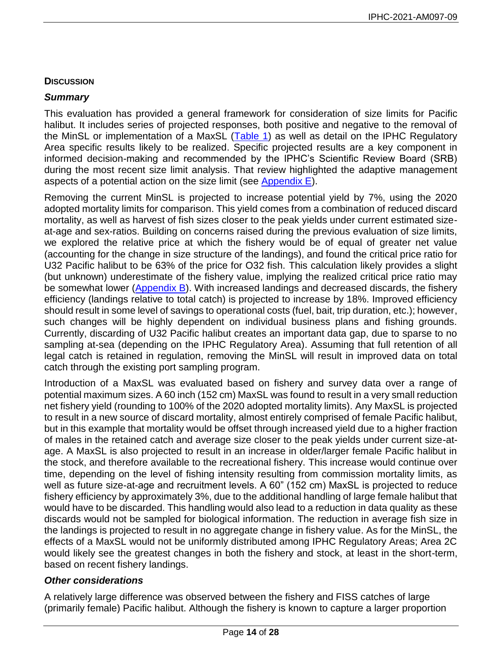## **DISCUSSION**

## *Summary*

This evaluation has provided a general framework for consideration of size limits for Pacific halibut. It includes series of projected responses, both positive and negative to the removal of the MinSL or implementation of a MaxSL [\(Table 1\)](#page-1-0) as well as detail on the IPHC Regulatory Area specific results likely to be realized. Specific projected results are a key component in informed decision-making and recommended by the IPHC's Scientific Review Board (SRB) during the most recent size limit analysis. That review highlighted the adaptive management aspects of a potential action on the size limit (see [Appendix E\)](#page-27-0).

Removing the current MinSL is projected to increase potential yield by 7%, using the 2020 adopted mortality limits for comparison. This yield comes from a combination of reduced discard mortality, as well as harvest of fish sizes closer to the peak yields under current estimated sizeat-age and sex-ratios. Building on concerns raised during the previous evaluation of size limits, we explored the relative price at which the fishery would be of equal of greater net value (accounting for the change in size structure of the landings), and found the critical price ratio for U32 Pacific halibut to be 63% of the price for O32 fish. This calculation likely provides a slight (but unknown) underestimate of the fishery value, implying the realized critical price ratio may be somewhat lower [\(Appendix B\)](#page-21-0). With increased landings and decreased discards, the fishery efficiency (landings relative to total catch) is projected to increase by 18%. Improved efficiency should result in some level of savings to operational costs (fuel, bait, trip duration, etc.); however, such changes will be highly dependent on individual business plans and fishing grounds. Currently, discarding of U32 Pacific halibut creates an important data gap, due to sparse to no sampling at-sea (depending on the IPHC Regulatory Area). Assuming that full retention of all legal catch is retained in regulation, removing the MinSL will result in improved data on total catch through the existing port sampling program.

Introduction of a MaxSL was evaluated based on fishery and survey data over a range of potential maximum sizes. A 60 inch (152 cm) MaxSL was found to result in a very small reduction net fishery yield (rounding to 100% of the 2020 adopted mortality limits). Any MaxSL is projected to result in a new source of discard mortality, almost entirely comprised of female Pacific halibut, but in this example that mortality would be offset through increased yield due to a higher fraction of males in the retained catch and average size closer to the peak yields under current size-atage. A MaxSL is also projected to result in an increase in older/larger female Pacific halibut in the stock, and therefore available to the recreational fishery. This increase would continue over time, depending on the level of fishing intensity resulting from commission mortality limits, as well as future size-at-age and recruitment levels. A 60" (152 cm) MaxSL is projected to reduce fishery efficiency by approximately 3%, due to the additional handling of large female halibut that would have to be discarded. This handling would also lead to a reduction in data quality as these discards would not be sampled for biological information. The reduction in average fish size in the landings is projected to result in no aggregate change in fishery value. As for the MinSL, the effects of a MaxSL would not be uniformly distributed among IPHC Regulatory Areas; Area 2C would likely see the greatest changes in both the fishery and stock, at least in the short-term, based on recent fishery landings.

# *Other considerations*

A relatively large difference was observed between the fishery and FISS catches of large (primarily female) Pacific halibut. Although the fishery is known to capture a larger proportion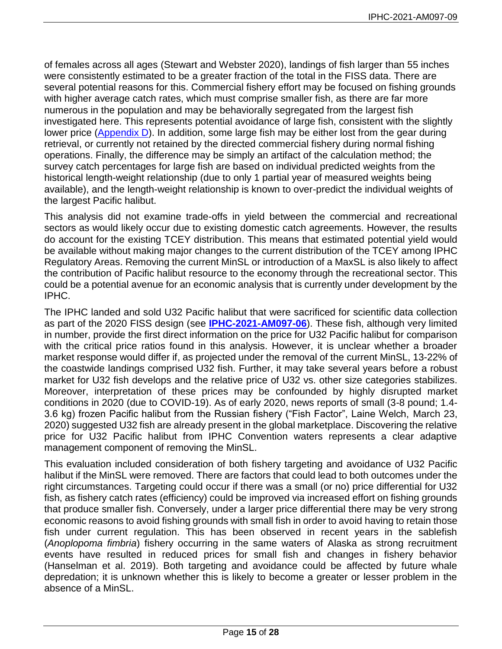of females across all ages [\(Stewart and Webster 2020\)](#page-19-2), landings of fish larger than 55 inches were consistently estimated to be a greater fraction of the total in the FISS data. There are several potential reasons for this. Commercial fishery effort may be focused on fishing grounds with higher average catch rates, which must comprise smaller fish, as there are far more numerous in the population and may be behaviorally segregated from the largest fish investigated here. This represents potential avoidance of large fish, consistent with the slightly lower price [\(Appendix D\)](#page-25-0). In addition, some large fish may be either lost from the gear during retrieval, or currently not retained by the directed commercial fishery during normal fishing operations. Finally, the difference may be simply an artifact of the calculation method; the survey catch percentages for large fish are based on individual predicted weights from the historical length-weight relationship (due to only 1 partial year of measured weights being available), and the length-weight relationship is known to over-predict the individual weights of the largest Pacific halibut.

This analysis did not examine trade-offs in yield between the commercial and recreational sectors as would likely occur due to existing domestic catch agreements. However, the results do account for the existing TCEY distribution. This means that estimated potential yield would be available without making major changes to the current distribution of the TCEY among IPHC Regulatory Areas. Removing the current MinSL or introduction of a MaxSL is also likely to affect the contribution of Pacific halibut resource to the economy through the recreational sector. This could be a potential avenue for an economic analysis that is currently under development by the IPHC.

The IPHC landed and sold U32 Pacific halibut that were sacrificed for scientific data collection as part of the 2020 FISS design (see **[IPHC-2021-AM097-06](https://www.iphc.int/venues/details/97th-session-of-the-iphc-annual-meeting-am097)**). These fish, although very limited in number, provide the first direct information on the price for U32 Pacific halibut for comparison with the critical price ratios found in this analysis. However, it is unclear whether a broader market response would differ if, as projected under the removal of the current MinSL, 13-22% of the coastwide landings comprised U32 fish. Further, it may take several years before a robust market for U32 fish develops and the relative price of U32 vs. other size categories stabilizes. Moreover, interpretation of these prices may be confounded by highly disrupted market conditions in 2020 (due to COVID-19). As of early 2020, news reports of small (3-8 pound; 1.4- 3.6 kg) frozen Pacific halibut from the Russian fishery ("Fish Factor", Laine Welch, March 23, 2020) suggested U32 fish are already present in the global marketplace. Discovering the relative price for U32 Pacific halibut from IPHC Convention waters represents a clear adaptive management component of removing the MinSL.

This evaluation included consideration of both fishery targeting and avoidance of U32 Pacific halibut if the MinSL were removed. There are factors that could lead to both outcomes under the right circumstances. Targeting could occur if there was a small (or no) price differential for U32 fish, as fishery catch rates (efficiency) could be improved via increased effort on fishing grounds that produce smaller fish. Conversely, under a larger price differential there may be very strong economic reasons to avoid fishing grounds with small fish in order to avoid having to retain those fish under current regulation. This has been observed in recent years in the sablefish (*Anoplopoma fimbria*) fishery occurring in the same waters of Alaska as strong recruitment events have resulted in reduced prices for small fish and changes in fishery behavior [\(Hanselman et al. 2019\)](#page-18-5). Both targeting and avoidance could be affected by future whale depredation; it is unknown whether this is likely to become a greater or lesser problem in the absence of a MinSL.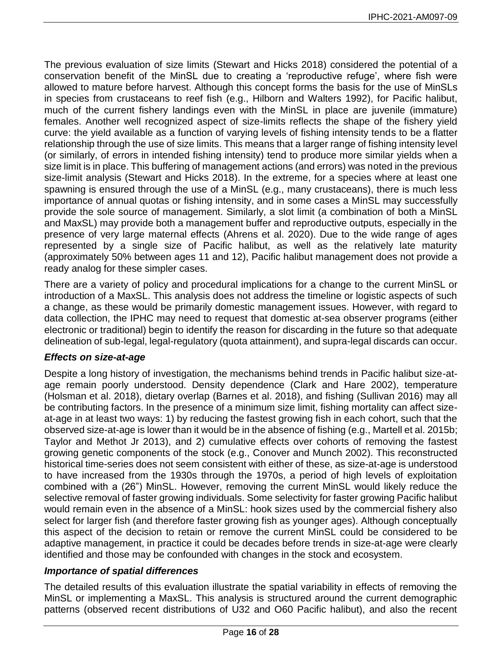The previous evaluation of size limits [\(Stewart and Hicks 2018\)](#page-19-5) considered the potential of a conservation benefit of the MinSL due to creating a 'reproductive refuge', where fish were allowed to mature before harvest. Although this concept forms the basis for the use of MinSLs in species from crustaceans to reef fish [\(e.g., Hilborn and Walters 1992\)](#page-18-6), for Pacific halibut, much of the current fishery landings even with the MinSL in place are juvenile (immature) females. Another well recognized aspect of size-limits reflects the shape of the fishery yield curve: the yield available as a function of varying levels of fishing intensity tends to be a flatter relationship through the use of size limits. This means that a larger range of fishing intensity level (or similarly, of errors in intended fishing intensity) tend to produce more similar yields when a size limit is in place. This buffering of management actions (and errors) was noted in the previous size-limit analysis [\(Stewart and Hicks 2018\)](#page-19-5). In the extreme, for a species where at least one spawning is ensured through the use of a MinSL (e.g., many crustaceans), there is much less importance of annual quotas or fishing intensity, and in some cases a MinSL may successfully provide the sole source of management. Similarly, a slot limit (a combination of both a MinSL and MaxSL) may provide both a management buffer and reproductive outputs, especially in the presence of very large maternal effects [\(Ahrens et al. 2020\)](#page-17-0). Due to the wide range of ages represented by a single size of Pacific halibut, as well as the relatively late maturity (approximately 50% between ages 11 and 12), Pacific halibut management does not provide a ready analog for these simpler cases.

There are a variety of policy and procedural implications for a change to the current MinSL or introduction of a MaxSL. This analysis does not address the timeline or logistic aspects of such a change, as these would be primarily domestic management issues. However, with regard to data collection, the IPHC may need to request that domestic at-sea observer programs (either electronic or traditional) begin to identify the reason for discarding in the future so that adequate delineation of sub-legal, legal-regulatory (quota attainment), and supra-legal discards can occur.

### *Effects on size-at-age*

Despite a long history of investigation, the mechanisms behind trends in Pacific halibut size-atage remain poorly understood. Density dependence [\(Clark and Hare 2002\)](#page-18-7), temperature [\(Holsman et al. 2018\)](#page-18-8), dietary overlap [\(Barnes et al. 2018\)](#page-17-1), and fishing [\(Sullivan 2016\)](#page-19-7) may all be contributing factors. In the presence of a minimum size limit, fishing mortality can affect sizeat-age in at least two ways: 1) by reducing the fastest growing fish in each cohort, such that the observed size-at-age is lower than it would be in the absence of fishing (e.g.[, Martell et al. 2015b;](#page-18-3) [Taylor and Methot Jr 2013\)](#page-19-8), and 2) cumulative effects over cohorts of removing the fastest growing genetic components of the stock [\(e.g., Conover and Munch 2002\)](#page-18-9). This reconstructed historical time-series does not seem consistent with either of these, as size-at-age is understood to have increased from the 1930s through the 1970s, a period of high levels of exploitation combined with a (26") MinSL. However, removing the current MinSL would likely reduce the selective removal of faster growing individuals. Some selectivity for faster growing Pacific halibut would remain even in the absence of a MinSL: hook sizes used by the commercial fishery also select for larger fish (and therefore faster growing fish as younger ages). Although conceptually this aspect of the decision to retain or remove the current MinSL could be considered to be adaptive management, in practice it could be decades before trends in size-at-age were clearly identified and those may be confounded with changes in the stock and ecosystem.

# *Importance of spatial differences*

The detailed results of this evaluation illustrate the spatial variability in effects of removing the MinSL or implementing a MaxSL. This analysis is structured around the current demographic patterns (observed recent distributions of U32 and O60 Pacific halibut), and also the recent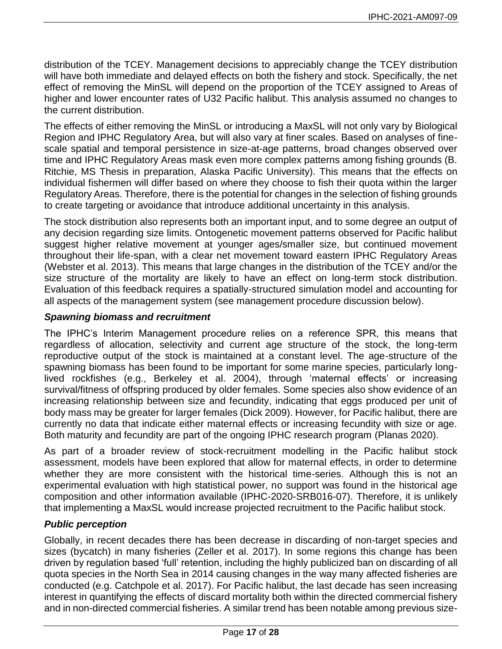distribution of the TCEY. Management decisions to appreciably change the TCEY distribution will have both immediate and delayed effects on both the fishery and stock. Specifically, the net effect of removing the MinSL will depend on the proportion of the TCEY assigned to Areas of higher and lower encounter rates of U32 Pacific halibut. This analysis assumed no changes to the current distribution.

The effects of either removing the MinSL or introducing a MaxSL will not only vary by Biological Region and IPHC Regulatory Area, but will also vary at finer scales. Based on analyses of finescale spatial and temporal persistence in size-at-age patterns, broad changes observed over time and IPHC Regulatory Areas mask even more complex patterns among fishing grounds (B. Ritchie, MS Thesis in preparation, Alaska Pacific University). This means that the effects on individual fishermen will differ based on where they choose to fish their quota within the larger Regulatory Areas. Therefore, there is the potential for changes in the selection of fishing grounds to create targeting or avoidance that introduce additional uncertainty in this analysis.

The stock distribution also represents both an important input, and to some degree an output of any decision regarding size limits. Ontogenetic movement patterns observed for Pacific halibut suggest higher relative movement at younger ages/smaller size, but continued movement throughout their life-span, with a clear net movement toward eastern IPHC Regulatory Areas [\(Webster et al. 2013\)](#page-19-9). This means that large changes in the distribution of the TCEY and/or the size structure of the mortality are likely to have an effect on long-term stock distribution. Evaluation of this feedback requires a spatially-structured simulation model and accounting for all aspects of the management system (see management procedure discussion below).

## *Spawning biomass and recruitment*

The IPHC's Interim Management procedure relies on a reference SPR, this means that regardless of allocation, selectivity and current age structure of the stock, the long-term reproductive output of the stock is maintained at a constant level. The age-structure of the spawning biomass has been found to be important for some marine species, particularly longlived rockfishes [\(e.g., Berkeley et al. 2004\)](#page-17-2), through 'maternal effects' or increasing survival/fitness of offspring produced by older females. Some species also show evidence of an increasing relationship between size and fecundity, indicating that eggs produced per unit of body mass may be greater for larger females [\(Dick 2009\)](#page-18-10). However, for Pacific halibut, there are currently no data that indicate either maternal effects or increasing fecundity with size or age. Both maturity and fecundity are part of the ongoing IPHC research program [\(Planas 2020\)](#page-19-10).

As part of a broader review of stock-recruitment modelling in the Pacific halibut stock assessment, models have been explored that allow for maternal effects, in order to determine whether they are more consistent with the historical time-series. Although this is not an experimental evaluation with high statistical power, no support was found in the historical age composition and other information available (IPHC-2020-SRB016-07). Therefore, it is unlikely that implementing a MaxSL would increase projected recruitment to the Pacific halibut stock.

# *Public perception*

Globally, in recent decades there has been decrease in discarding of non-target species and sizes (bycatch) in many fisheries [\(Zeller et al. 2017\)](#page-19-11). In some regions this change has been driven by regulation based 'full' retention, including the highly publicized ban on discarding of all quota species in the North Sea in 2014 causing changes in the way many affected fisheries are conducted [\(e.g. Catchpole et al. 2017\)](#page-18-11). For Pacific halibut, the last decade has seen increasing interest in quantifying the effects of discard mortality both within the directed commercial fishery and in non-directed commercial fisheries. A similar trend has been notable among previous size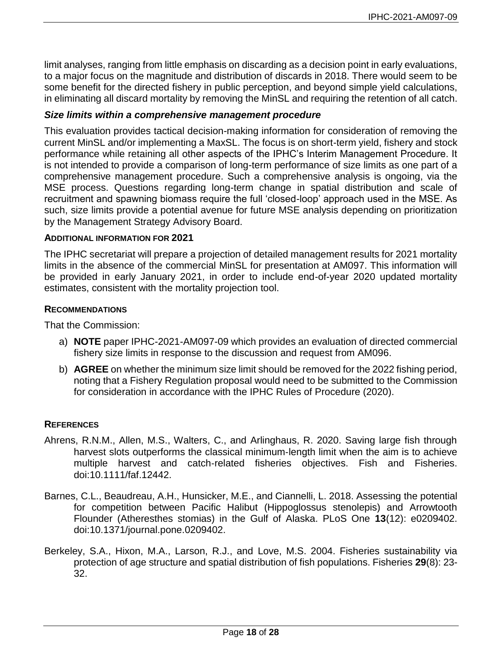limit analyses, ranging from little emphasis on discarding as a decision point in early evaluations, to a major focus on the magnitude and distribution of discards in 2018. There would seem to be some benefit for the directed fishery in public perception, and beyond simple yield calculations, in eliminating all discard mortality by removing the MinSL and requiring the retention of all catch.

### *Size limits within a comprehensive management procedure*

This evaluation provides tactical decision-making information for consideration of removing the current MinSL and/or implementing a MaxSL. The focus is on short-term yield, fishery and stock performance while retaining all other aspects of the IPHC's Interim Management Procedure. It is not intended to provide a comparison of long-term performance of size limits as one part of a comprehensive management procedure. Such a comprehensive analysis is ongoing, via the MSE process. Questions regarding long-term change in spatial distribution and scale of recruitment and spawning biomass require the full 'closed-loop' approach used in the MSE. As such, size limits provide a potential avenue for future MSE analysis depending on prioritization by the Management Strategy Advisory Board.

### **ADDITIONAL INFORMATION FOR 2021**

The IPHC secretariat will prepare a projection of detailed management results for 2021 mortality limits in the absence of the commercial MinSL for presentation at AM097. This information will be provided in early January 2021, in order to include end-of-year 2020 updated mortality estimates, consistent with the mortality projection tool.

### **RECOMMENDATIONS**

That the Commission:

- a) **NOTE** paper IPHC-2021-AM097-09 which provides an evaluation of directed commercial fishery size limits in response to the discussion and request from AM096.
- b) **AGREE** on whether the minimum size limit should be removed for the 2022 fishing period, noting that a Fishery Regulation proposal would need to be submitted to the Commission for consideration in accordance with the IPHC Rules of Procedure (2020).

### **REFERENCES**

- <span id="page-17-0"></span>Ahrens, R.N.M., Allen, M.S., Walters, C., and Arlinghaus, R. 2020. Saving large fish through harvest slots outperforms the classical minimum‐length limit when the aim is to achieve multiple harvest and catch‐related fisheries objectives. Fish and Fisheries. doi:10.1111/faf.12442.
- <span id="page-17-1"></span>Barnes, C.L., Beaudreau, A.H., Hunsicker, M.E., and Ciannelli, L. 2018. Assessing the potential for competition between Pacific Halibut (Hippoglossus stenolepis) and Arrowtooth Flounder (Atheresthes stomias) in the Gulf of Alaska. PLoS One **13**(12): e0209402. doi:10.1371/journal.pone.0209402.
- <span id="page-17-2"></span>Berkeley, S.A., Hixon, M.A., Larson, R.J., and Love, M.S. 2004. Fisheries sustainability via protection of age structure and spatial distribution of fish populations. Fisheries **29**(8): 23- 32.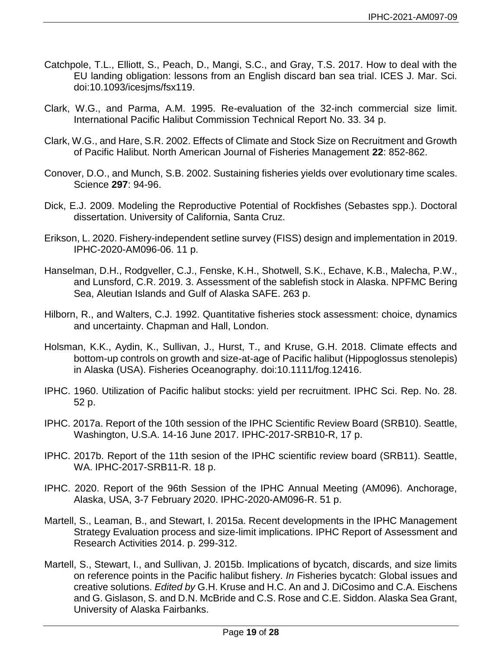- <span id="page-18-11"></span>Catchpole, T.L., Elliott, S., Peach, D., Mangi, S.C., and Gray, T.S. 2017. How to deal with the EU landing obligation: lessons from an English discard ban sea trial. ICES J. Mar. Sci. doi:10.1093/icesjms/fsx119.
- <span id="page-18-1"></span>Clark, W.G., and Parma, A.M. 1995. Re-evaluation of the 32-inch commercial size limit. International Pacific Halibut Commission Technical Report No. 33. 34 p.
- <span id="page-18-7"></span>Clark, W.G., and Hare, S.R. 2002. Effects of Climate and Stock Size on Recruitment and Growth of Pacific Halibut. North American Journal of Fisheries Management **22**: 852-862.
- <span id="page-18-9"></span>Conover, D.O., and Munch, S.B. 2002. Sustaining fisheries yields over evolutionary time scales. Science **297**: 94-96.
- <span id="page-18-10"></span>Dick, E.J. 2009. Modeling the Reproductive Potential of Rockfishes (Sebastes spp.). Doctoral dissertation. University of California, Santa Cruz.
- <span id="page-18-4"></span>Erikson, L. 2020. Fishery-independent setline survey (FISS) design and implementation in 2019. IPHC-2020-AM096-06. 11 p.
- <span id="page-18-5"></span>Hanselman, D.H., Rodgveller, C.J., Fenske, K.H., Shotwell, S.K., Echave, K.B., Malecha, P.W., and Lunsford, C.R. 2019. 3. Assessment of the sablefish stock in Alaska. NPFMC Bering Sea, Aleutian Islands and Gulf of Alaska SAFE. 263 p.
- <span id="page-18-6"></span>Hilborn, R., and Walters, C.J. 1992. Quantitative fisheries stock assessment: choice, dynamics and uncertainty. Chapman and Hall, London.
- <span id="page-18-8"></span>Holsman, K.K., Aydin, K., Sullivan, J., Hurst, T., and Kruse, G.H. 2018. Climate effects and bottom-up controls on growth and size-at-age of Pacific halibut (Hippoglossus stenolepis) in Alaska (USA). Fisheries Oceanography. doi:10.1111/fog.12416.
- <span id="page-18-0"></span>IPHC. 1960. Utilization of Pacific halibut stocks: yield per recruitment. IPHC Sci. Rep. No. 28. 52 p.
- IPHC. 2017a. Report of the 10th session of the IPHC Scientific Review Board (SRB10). Seattle, Washington, U.S.A. 14-16 June 2017. IPHC-2017-SRB10-R, 17 p.
- <span id="page-18-12"></span>IPHC. 2017b. Report of the 11th sesion of the IPHC scientific review board (SRB11). Seattle, WA. IPHC-2017-SRB11-R. 18 p.
- IPHC. 2020. Report of the 96th Session of the IPHC Annual Meeting (AM096). Anchorage, Alaska, USA, 3-7 February 2020. IPHC-2020-AM096-R. 51 p.
- <span id="page-18-2"></span>Martell, S., Leaman, B., and Stewart, I. 2015a. Recent developments in the IPHC Management Strategy Evaluation process and size-limit implications. IPHC Report of Assessment and Research Activities 2014. p. 299-312.
- <span id="page-18-3"></span>Martell, S., Stewart, I., and Sullivan, J. 2015b. Implications of bycatch, discards, and size limits on reference points in the Pacific halibut fishery. *In* Fisheries bycatch: Global issues and creative solutions. *Edited by* G.H. Kruse and H.C. An and J. DiCosimo and C.A. Eischens and G. Gislason, S. and D.N. McBride and C.S. Rose and C.E. Siddon. Alaska Sea Grant, University of Alaska Fairbanks.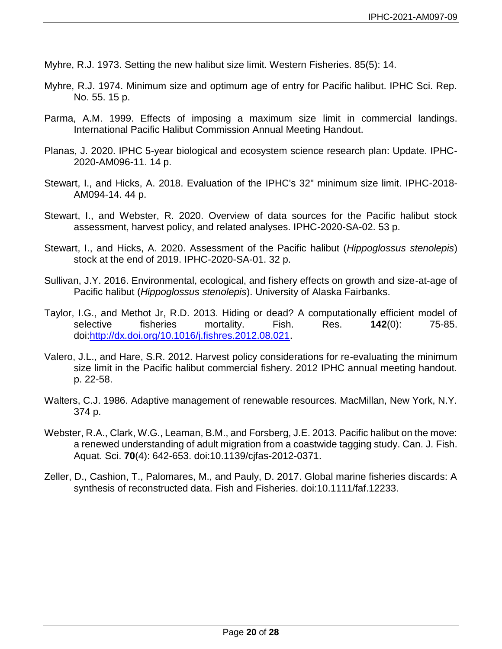- <span id="page-19-0"></span>Myhre, R.J. 1973. Setting the new halibut size limit. Western Fisheries. 85(5): 14.
- <span id="page-19-1"></span>Myhre, R.J. 1974. Minimum size and optimum age of entry for Pacific halibut. IPHC Sci. Rep. No. 55. 15 p.
- <span id="page-19-3"></span>Parma, A.M. 1999. Effects of imposing a maximum size limit in commercial landings. International Pacific Halibut Commission Annual Meeting Handout.
- <span id="page-19-10"></span>Planas, J. 2020. IPHC 5-year biological and ecosystem science research plan: Update. IPHC-2020-AM096-11. 14 p.
- <span id="page-19-5"></span>Stewart, I., and Hicks, A. 2018. Evaluation of the IPHC's 32" minimum size limit. IPHC-2018- AM094-14. 44 p.
- <span id="page-19-2"></span>Stewart, I., and Webster, R. 2020. Overview of data sources for the Pacific halibut stock assessment, harvest policy, and related analyses. IPHC-2020-SA-02. 53 p.
- <span id="page-19-6"></span>Stewart, I., and Hicks, A. 2020. Assessment of the Pacific halibut (*Hippoglossus stenolepis*) stock at the end of 2019. IPHC-2020-SA-01. 32 p.
- <span id="page-19-7"></span>Sullivan, J.Y. 2016. Environmental, ecological, and fishery effects on growth and size-at-age of Pacific halibut (*Hippoglossus stenolepis*). University of Alaska Fairbanks.
- <span id="page-19-8"></span>Taylor, I.G., and Methot Jr, R.D. 2013. Hiding or dead? A computationally efficient model of selective fisheries mortality. Fish. Res. **142**(0): 75-85. doi[:http://dx.doi.org/10.1016/j.fishres.2012.08.021.](http://dx.doi.org/10.1016/j.fishres.2012.08.021)
- <span id="page-19-4"></span>Valero, J.L., and Hare, S.R. 2012. Harvest policy considerations for re-evaluating the minimum size limit in the Pacific halibut commercial fishery. 2012 IPHC annual meeting handout. p. 22-58.
- <span id="page-19-12"></span>Walters, C.J. 1986. Adaptive management of renewable resources. MacMillan, New York, N.Y. 374 p.
- <span id="page-19-9"></span>Webster, R.A., Clark, W.G., Leaman, B.M., and Forsberg, J.E. 2013. Pacific halibut on the move: a renewed understanding of adult migration from a coastwide tagging study. Can. J. Fish. Aquat. Sci. **70**(4): 642-653. doi:10.1139/cjfas-2012-0371.
- <span id="page-19-11"></span>Zeller, D., Cashion, T., Palomares, M., and Pauly, D. 2017. Global marine fisheries discards: A synthesis of reconstructed data. Fish and Fisheries. doi:10.1111/faf.12233.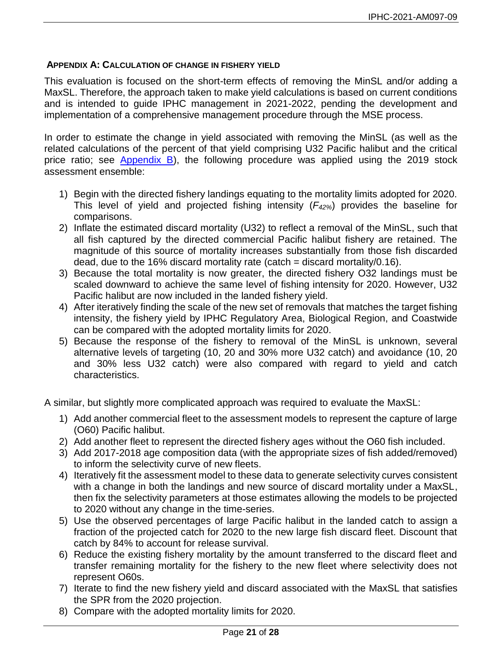### <span id="page-20-0"></span>**APPENDIX A: CALCULATION OF CHANGE IN FISHERY YIELD**

This evaluation is focused on the short-term effects of removing the MinSL and/or adding a MaxSL. Therefore, the approach taken to make yield calculations is based on current conditions and is intended to guide IPHC management in 2021-2022, pending the development and implementation of a comprehensive management procedure through the MSE process.

In order to estimate the change in yield associated with removing the MinSL (as well as the related calculations of the percent of that yield comprising U32 Pacific halibut and the critical price ratio; see [Appendix B\)](#page-21-0), the following procedure was applied using the 2019 stock assessment ensemble:

- 1) Begin with the directed fishery landings equating to the mortality limits adopted for 2020. This level of yield and projected fishing intensity (*F42%*) provides the baseline for comparisons.
- 2) Inflate the estimated discard mortality (U32) to reflect a removal of the MinSL, such that all fish captured by the directed commercial Pacific halibut fishery are retained. The magnitude of this source of mortality increases substantially from those fish discarded dead, due to the 16% discard mortality rate (catch  $=$  discard mortality/0.16).
- 3) Because the total mortality is now greater, the directed fishery O32 landings must be scaled downward to achieve the same level of fishing intensity for 2020. However, U32 Pacific halibut are now included in the landed fishery yield.
- 4) After iteratively finding the scale of the new set of removals that matches the target fishing intensity, the fishery yield by IPHC Regulatory Area, Biological Region, and Coastwide can be compared with the adopted mortality limits for 2020.
- 5) Because the response of the fishery to removal of the MinSL is unknown, several alternative levels of targeting (10, 20 and 30% more U32 catch) and avoidance (10, 20 and 30% less U32 catch) were also compared with regard to yield and catch characteristics.

A similar, but slightly more complicated approach was required to evaluate the MaxSL:

- 1) Add another commercial fleet to the assessment models to represent the capture of large (O60) Pacific halibut.
- 2) Add another fleet to represent the directed fishery ages without the O60 fish included.
- 3) Add 2017-2018 age composition data (with the appropriate sizes of fish added/removed) to inform the selectivity curve of new fleets.
- 4) Iteratively fit the assessment model to these data to generate selectivity curves consistent with a change in both the landings and new source of discard mortality under a MaxSL, then fix the selectivity parameters at those estimates allowing the models to be projected to 2020 without any change in the time-series.
- 5) Use the observed percentages of large Pacific halibut in the landed catch to assign a fraction of the projected catch for 2020 to the new large fish discard fleet. Discount that catch by 84% to account for release survival.
- 6) Reduce the existing fishery mortality by the amount transferred to the discard fleet and transfer remaining mortality for the fishery to the new fleet where selectivity does not represent O60s.
- 7) Iterate to find the new fishery yield and discard associated with the MaxSL that satisfies the SPR from the 2020 projection.
- 8) Compare with the adopted mortality limits for 2020.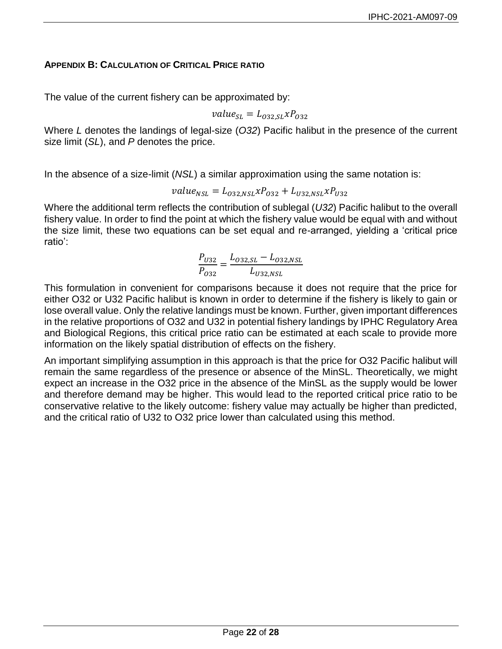## <span id="page-21-0"></span>**APPENDIX B: CALCULATION OF CRITICAL PRICE RATIO**

The value of the current fishery can be approximated by:

$$
value_{SL} = L_{032, SL} x P_{032}
$$

Where *L* denotes the landings of legal-size (*O32*) Pacific halibut in the presence of the current size limit (*SL*), and *P* denotes the price.

In the absence of a size-limit (*NSL*) a similar approximation using the same notation is:

$$
value_{NSL} = L_{032,NSL} x P_{032} + L_{U32,NSL} x P_{U32}
$$

Where the additional term reflects the contribution of sublegal (*U32*) Pacific halibut to the overall fishery value. In order to find the point at which the fishery value would be equal with and without the size limit, these two equations can be set equal and re-arranged, yielding a 'critical price ratio':

$$
\frac{P_{U32}}{P_{O32}} = \frac{L_{O32, SL} - L_{O32, NSL}}{L_{U32, NSL}}
$$

This formulation in convenient for comparisons because it does not require that the price for either O32 or U32 Pacific halibut is known in order to determine if the fishery is likely to gain or lose overall value. Only the relative landings must be known. Further, given important differences in the relative proportions of O32 and U32 in potential fishery landings by IPHC Regulatory Area and Biological Regions, this critical price ratio can be estimated at each scale to provide more information on the likely spatial distribution of effects on the fishery.

An important simplifying assumption in this approach is that the price for O32 Pacific halibut will remain the same regardless of the presence or absence of the MinSL. Theoretically, we might expect an increase in the O32 price in the absence of the MinSL as the supply would be lower and therefore demand may be higher. This would lead to the reported critical price ratio to be conservative relative to the likely outcome: fishery value may actually be higher than predicted, and the critical ratio of U32 to O32 price lower than calculated using this method.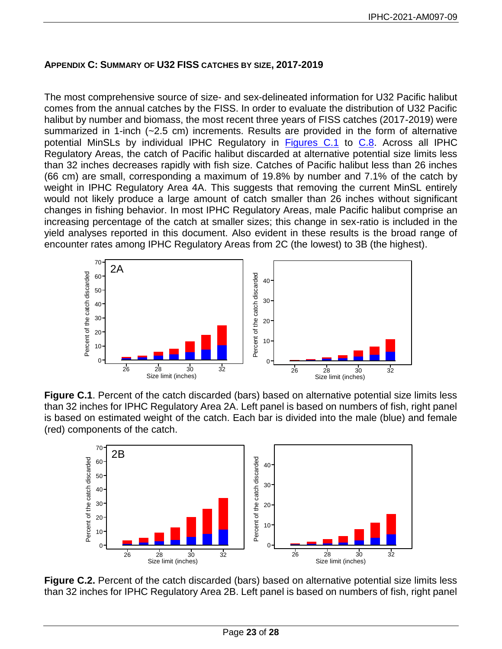# <span id="page-22-0"></span>**APPENDIX C: SUMMARY OF U32 FISS CATCHES BY SIZE, 2017-2019**

The most comprehensive source of size- and sex-delineated information for U32 Pacific halibut comes from the annual catches by the FISS. In order to evaluate the distribution of U32 Pacific halibut by number and biomass, the most recent three years of FISS catches (2017-2019) were summarized in 1-inch (~2.5 cm) increments. Results are provided in the form of alternative potential MinSLs by individual IPHC Regulatory in [Figures C.1](#page-22-1) to [C.8.](#page-24-0) Across all IPHC Regulatory Areas, the catch of Pacific halibut discarded at alternative potential size limits less than 32 inches decreases rapidly with fish size. Catches of Pacific halibut less than 26 inches (66 cm) are small, corresponding a maximum of 19.8% by number and 7.1% of the catch by weight in IPHC Regulatory Area 4A. This suggests that removing the current MinSL entirely would not likely produce a large amount of catch smaller than 26 inches without significant changes in fishing behavior. In most IPHC Regulatory Areas, male Pacific halibut comprise an increasing percentage of the catch at smaller sizes; this change in sex-ratio is included in the yield analyses reported in this document. Also evident in these results is the broad range of encounter rates among IPHC Regulatory Areas from 2C (the lowest) to 3B (the highest).



<span id="page-22-1"></span>



**Figure C.2.** Percent of the catch discarded (bars) based on alternative potential size limits less than 32 inches for IPHC Regulatory Area 2B. Left panel is based on numbers of fish, right panel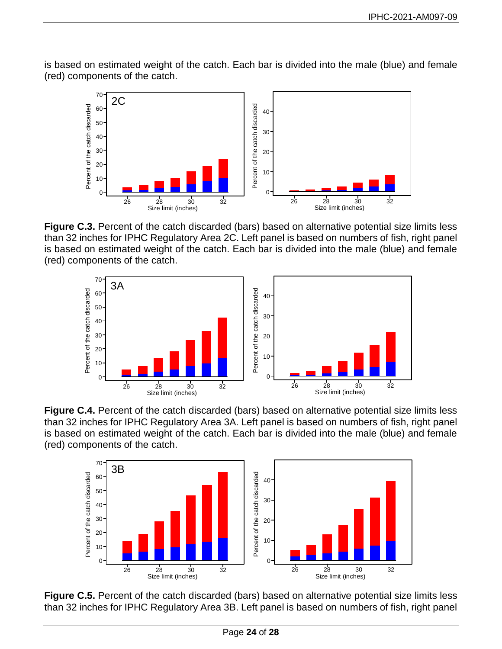is based on estimated weight of the catch. Each bar is divided into the male (blue) and female (red) components of the catch.



**Figure C.3.** Percent of the catch discarded (bars) based on alternative potential size limits less than 32 inches for IPHC Regulatory Area 2C. Left panel is based on numbers of fish, right panel is based on estimated weight of the catch. Each bar is divided into the male (blue) and female (red) components of the catch.



**Figure C.4.** Percent of the catch discarded (bars) based on alternative potential size limits less than 32 inches for IPHC Regulatory Area 3A. Left panel is based on numbers of fish, right panel is based on estimated weight of the catch. Each bar is divided into the male (blue) and female (red) components of the catch.



**Figure C.5.** Percent of the catch discarded (bars) based on alternative potential size limits less than 32 inches for IPHC Regulatory Area 3B. Left panel is based on numbers of fish, right panel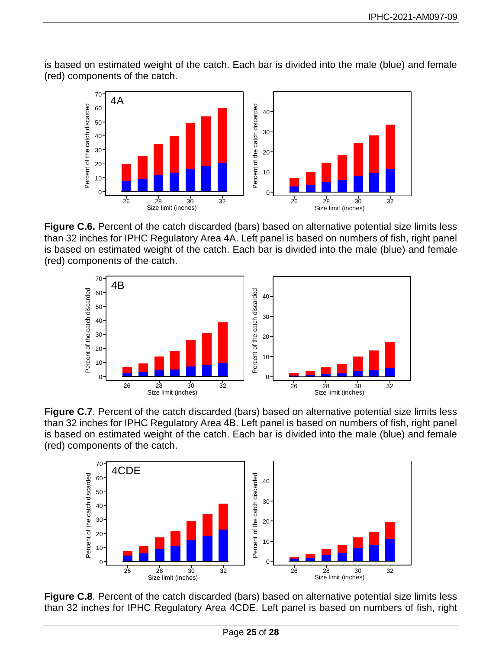is based on estimated weight of the catch. Each bar is divided into the male (blue) and female (red) components of the catch.



**Figure C.6.** Percent of the catch discarded (bars) based on alternative potential size limits less than 32 inches for IPHC Regulatory Area 4A. Left panel is based on numbers of fish, right panel is based on estimated weight of the catch. Each bar is divided into the male (blue) and female (red) components of the catch.



**Figure C.7**. Percent of the catch discarded (bars) based on alternative potential size limits less than 32 inches for IPHC Regulatory Area 4B. Left panel is based on numbers of fish, right panel is based on estimated weight of the catch. Each bar is divided into the male (blue) and female (red) components of the catch.



<span id="page-24-0"></span>**Figure C.8.** Percent of the catch discarded (bars) based on alternative potential size limits less than 32 inches for IPHC Regulatory Area 4CDE. Left panel is based on numbers of fish, right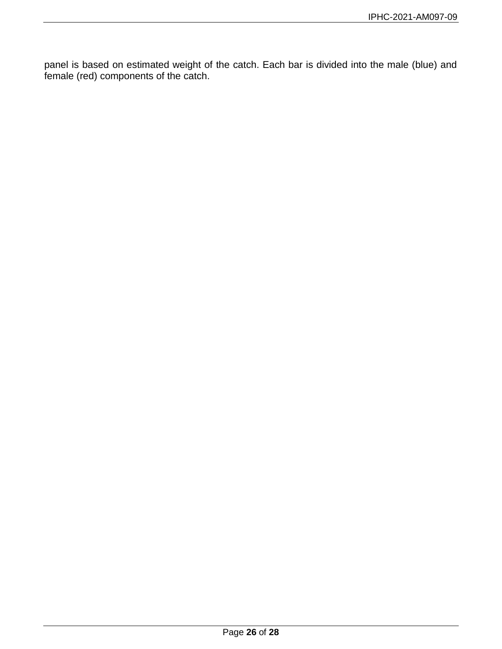<span id="page-25-0"></span>panel is based on estimated weight of the catch. Each bar is divided into the male (blue) and female (red) components of the catch.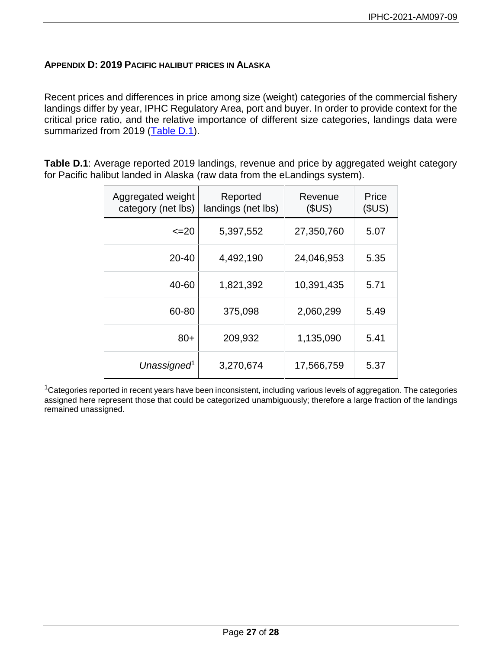### **APPENDIX D: 2019 PACIFIC HALIBUT PRICES IN ALASKA**

Recent prices and differences in price among size (weight) categories of the commercial fishery landings differ by year, IPHC Regulatory Area, port and buyer. In order to provide context for the critical price ratio, and the relative importance of different size categories, landings data were summarized from 2019 [\(Table D.1\)](#page-26-0).

<span id="page-26-0"></span>**Table D.1**: Average reported 2019 landings, revenue and price by aggregated weight category for Pacific halibut landed in Alaska (raw data from the eLandings system).

| Aggregated weight<br>category (net lbs) | Reported<br>landings (net lbs) | Revenue<br>(SUS) | Price<br>(SUS) |
|-----------------------------------------|--------------------------------|------------------|----------------|
| <=20                                    | 5,397,552                      | 27,350,760       | 5.07           |
| $20 - 40$                               | 4,492,190                      | 24,046,953       | 5.35           |
| 40-60                                   | 1,821,392                      | 10,391,435       | 5.71           |
| 60-80                                   | 375,098                        | 2,060,299        | 5.49           |
| $80+$                                   | 209,932                        | 1,135,090        | 5.41           |
| Unassigned <sup>1</sup>                 | 3,270,674                      | 17,566,759       | 5.37           |

 $1$ Categories reported in recent years have been inconsistent, including various levels of aggregation. The categories assigned here represent those that could be categorized unambiguously; therefore a large fraction of the landings remained unassigned.